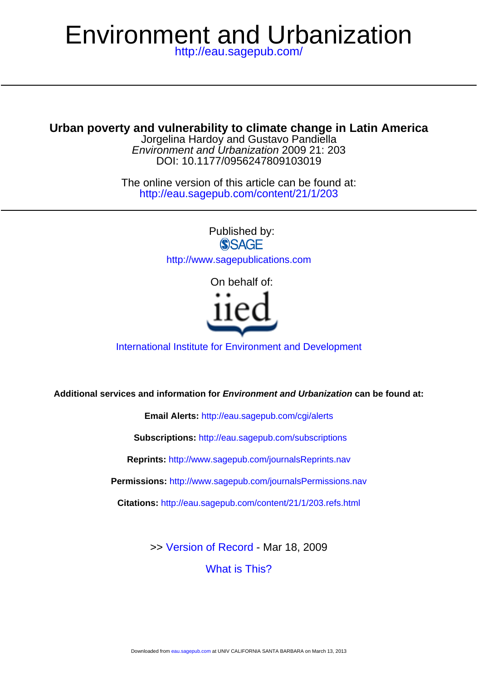# <http://eau.sagepub.com/> Environment and Urbanization

**Urban poverty and vulnerability to climate change in Latin America**

DOI: 10.1177/0956247809103019 Environment and Urbanization 2009 21: 203 Jorgelina Hardoy and Gustavo Pandiella

<http://eau.sagepub.com/content/21/1/203> The online version of this article can be found at:

> Published by:<br>
> SAGE <http://www.sagepublications.com>

> > On behalf of:



[International Institute for Environment and Development](http://www.iied.org/)

**Additional services and information for Environment and Urbanization can be found at:**

**Email Alerts:** <http://eau.sagepub.com/cgi/alerts>

**Subscriptions:** <http://eau.sagepub.com/subscriptions>

**Reprints:** <http://www.sagepub.com/journalsReprints.nav>

**Permissions:** <http://www.sagepub.com/journalsPermissions.nav>

**Citations:** <http://eau.sagepub.com/content/21/1/203.refs.html>

[What is This?](http://online.sagepub.com/site/sphelp/vorhelp.xhtml) >> [Version of Record -](http://eau.sagepub.com/content/21/1/203.full.pdf) Mar 18, 2009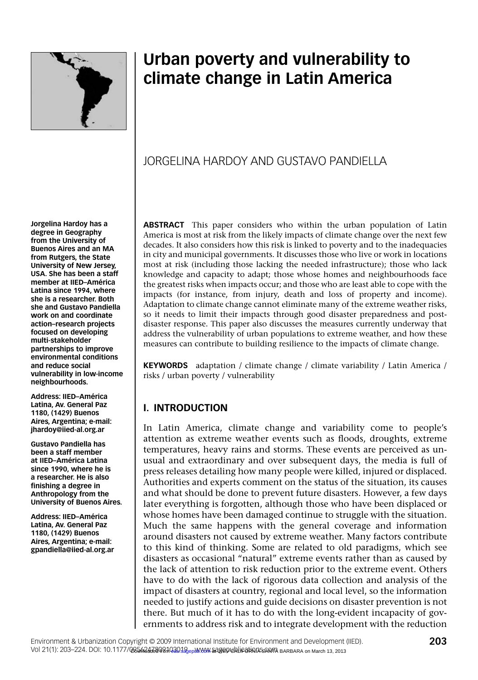

**Jorgelina Hardoy has a degree in Geography from the University of Buenos Aires and an MA from Rutgers, the State University of New Jersey, USA. She has been a staff member at IIED–América Latina since 1994, where she is a researcher. Both she and Gustavo Pandiella work on and coordinate action–research projects focused on developing multi-stakeholder partnerships to improve environmental conditions and reduce social vulnerability in low-income neighbourhoods. Address: IIED–América Latina, Av. General Paz 1180, (1429) Buenos Aires, Argentina; e-mail: jhardoy@iied-al.org.ar Gustavo Pandiella has been a staff member at IIED–América Latina since 1990, where he is a researcher. He is also fi nishing a degree in Anthropology from the University of Buenos Aires. Address: IIED–América Latina, Av. General Paz 1180, (1429) Buenos Aires, Argentina; e-mail: gpandiella@iied-al.org.ar**

# **Urban poverty and vulnerability to climate change in Latin America**

# JORGELINA HARDOY AND GUSTAVO PANDIELLA

**ABSTRACT** This paper considers who within the urban population of Latin America is most at risk from the likely impacts of climate change over the next few decades. It also considers how this risk is linked to poverty and to the inadequacies in city and municipal governments. It discusses those who live or work in locations most at risk (including those lacking the needed infrastructure); those who lack knowledge and capacity to adapt; those whose homes and neighbourhoods face the greatest risks when impacts occur; and those who are least able to cope with the impacts (for instance, from injury, death and loss of property and income). Adaptation to climate change cannot eliminate many of the extreme weather risks, so it needs to limit their impacts through good disaster preparedness and postdisaster response. This paper also discusses the measures currently underway that address the vulnerability of urban populations to extreme weather, and how these measures can contribute to building resilience to the impacts of climate change.

**KEYWORDS** adaptation / climate change / climate variability / Latin America / risks / urban poverty / vulnerability

# **I. INTRODUCTION**

In Latin America, climate change and variability come to people's attention as extreme weather events such as floods, droughts, extreme temperatures, heavy rains and storms. These events are perceived as unusual and extraordinary and over subsequent days, the media is full of press releases detailing how many people were killed, injured or displaced. Authorities and experts comment on the status of the situation, its causes and what should be done to prevent future disasters. However, a few days later everything is forgotten, although those who have been displaced or whose homes have been damaged continue to struggle with the situation. Much the same happens with the general coverage and information around disasters not caused by extreme weather. Many factors contribute to this kind of thinking. Some are related to old paradigms, which see disasters as occasional "natural" extreme events rather than as caused by the lack of attention to risk reduction prior to the extreme event. Others have to do with the lack of rigorous data collection and analysis of the impact of disasters at country, regional and local level, so the information needed to justify actions and guide decisions on disaster prevention is not there. But much of it has to do with the long-evident incapacity of governments to address risk and to integrate development with the reduction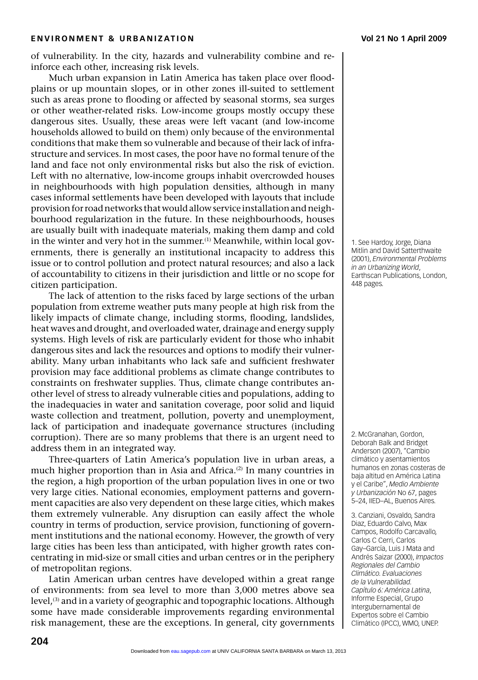of vulnerability. In the city, hazards and vulnerability combine and reinforce each other, increasing risk levels.

Much urban expansion in Latin America has taken place over floodplains or up mountain slopes, or in other zones ill-suited to settlement such as areas prone to flooding or affected by seasonal storms, sea surges or other weather-related risks. Low-income groups mostly occupy these dangerous sites. Usually, these areas were left vacant (and low-income households allowed to build on them) only because of the environmental conditions that make them so vulnerable and because of their lack of infrastructure and services. In most cases, the poor have no formal tenure of the land and face not only environmental risks but also the risk of eviction. Left with no alternative, low-income groups inhabit overcrowded houses in neighbourhoods with high population densities, although in many cases informal settlements have been developed with layouts that include provision for road networks that would allow service installation and neighbourhood regularization in the future. In these neighbourhoods, houses are usually built with inadequate materials, making them damp and cold in the winter and very hot in the summer.<sup>(1)</sup> Meanwhile, within local governments, there is generally an institutional incapacity to address this issue or to control pollution and protect natural resources; and also a lack of accountability to citizens in their jurisdiction and little or no scope for citizen participation.

The lack of attention to the risks faced by large sections of the urban population from extreme weather puts many people at high risk from the likely impacts of climate change, including storms, flooding, landslides, heat waves and drought, and overloaded water, drainage and energy supply systems. High levels of risk are particularly evident for those who inhabit dangerous sites and lack the resources and options to modify their vulnerability. Many urban inhabitants who lack safe and sufficient freshwater provision may face additional problems as climate change contributes to constraints on freshwater supplies. Thus, climate change contributes another level of stress to already vulnerable cities and populations, adding to the inadequacies in water and sanitation coverage, poor solid and liquid waste collection and treatment, pollution, poverty and unemployment, lack of participation and inadequate governance structures (including corruption). There are so many problems that there is an urgent need to address them in an integrated way.

Three-quarters of Latin America's population live in urban areas, a much higher proportion than in Asia and Africa.<sup>(2)</sup> In many countries in the region, a high proportion of the urban population lives in one or two very large cities. National economies, employment patterns and government capacities are also very dependent on these large cities, which makes them extremely vulnerable. Any disruption can easily affect the whole country in terms of production, service provision, functioning of government institutions and the national economy. However, the growth of very large cities has been less than anticipated, with higher growth rates concentrating in mid-size or small cities and urban centres or in the periphery of metropolitan regions.

Latin American urban centres have developed within a great range of environments: from sea level to more than 3,000 metres above sea level,<sup>(3)</sup> and in a variety of geographic and topographic locations. Although some have made considerable improvements regarding environmental risk management, these are the exceptions. In general, city governments

1. See Hardoy, Jorge, Diana Mitlin and David Satterthwaite (2001), *Environmental Problems in an Urbanizing World*, Earthscan Publications, London, 448 pages.

2. McGranahan, Gordon, Deborah Balk and Bridget Anderson (2007), "Cambio climático y asentamientos humanos en zonas costeras de baja altitud en América Latina y el Caribe", *Medio Ambiente y Urbanización* No 67, pages 5–24, IIED–AL, Buenos Aires.

3. Canziani, Osvaldo, Sandra Diaz, Eduardo Calvo, Max Campos, Rodolfo Carcavallo, Carlos C Cerri, Carlos Gay–García, Luis J Mata and Andrés Saizar (2000), *Impactos Regionales del Cambio Climático. Evaluaciones de la Vulnerabilidad. Capítulo 6: América Latina*, Informe Especial, Grupo Intergubernamental de Expertos sobre el Cambio Climático (IPCC), WMO, UNEP.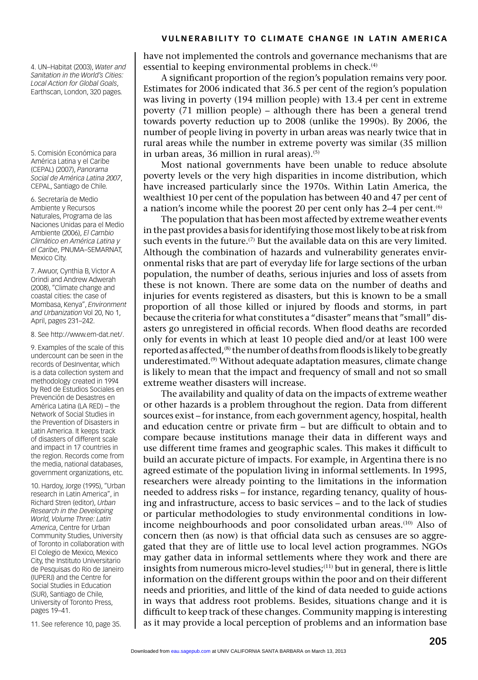4. UN–Habitat (2003), *Water and Sanitation in the World's Cities: Local Action for Global Goals*, Earthscan, London, 320 pages.

5. Comisión Económica para América Latina y el Caribe (CEPAL) (2007), *Panorama Social de América Latina 2007*, CEPAL, Santiago de Chile.

6. Secretaría de Medio Ambiente y Recursos Naturales, Programa de las Naciones Unidas para el Medio Ambiente (2006), *El Cambio Climático en América Latina y el Caribe*, PNUMA–SEMARNAT, Mexico City.

7. Awuor, Cynthia B, Victor A Orindi and Andrew Adwerah (2008), "Climate change and coastal cities: the case of Mombasa, Kenya", *Environment and Urbanization* Vol 20, No 1, April, pages 231–242.

#### 8. See http://www.em-dat.net/.

9. Examples of the scale of this undercount can be seen in the records of DesInventar, which is a data collection system and methodology created in 1994 by Red de Estudios Sociales en Prevención de Desastres en América Latina (LA RED) – the Network of Social Studies in the Prevention of Disasters in Latin America. It keeps track of disasters of different scale and impact in 17 countries in the region. Records come from the media, national databases, government organizations, etc.

10. Hardoy, Jorge (1995), "Urban research in Latin America", in Richard Stren (editor), *Urban Research in the Developing World, Volume Three: Latin America*, Centre for Urban Community Studies, University of Toronto in collaboration with El Colegio de Mexico, Mexico City, the Instituto Universitario de Pesquisas do Rio de Janeiro (IUPERJ) and the Centre for Social Studies in Education (SUR), Santiago de Chile, University of Toronto Press, pages 19–41.

11. See reference 10, page 35.

have not implemented the controls and governance mechanisms that are essential to keeping environmental problems in check.<sup>(4)</sup>

A significant proportion of the region's population remains very poor. Estimates for 2006 indicated that 36.5 per cent of the region's population was living in poverty (194 million people) with 13.4 per cent in extreme poverty (71 million people) – although there has been a general trend towards poverty reduction up to 2008 (unlike the 1990s). By 2006, the number of people living in poverty in urban areas was nearly twice that in rural areas while the number in extreme poverty was similar (35 million in urban areas,  $36$  million in rural areas).<sup>(5)</sup>

Most national governments have been unable to reduce absolute poverty levels or the very high disparities in income distribution, which have increased particularly since the 1970s. Within Latin America, the wealthiest 10 per cent of the population has between 40 and 47 per cent of a nation's income while the poorest 20 per cent only has 2-4 per cent.<sup>(6)</sup>

The population that has been most affected by extreme weather events in the past provides a basis for identifying those most likely to be at risk from such events in the future.<sup> $(7)$ </sup> But the available data on this are very limited. Although the combination of hazards and vulnerability generates environmental risks that are part of everyday life for large sections of the urban population, the number of deaths, serious injuries and loss of assets from these is not known. There are some data on the number of deaths and injuries for events registered as disasters, but this is known to be a small proportion of all those killed or injured by floods and storms, in part because the criteria for what constitutes a "disaster" means that "small" disasters go unregistered in official records. When flood deaths are recorded only for events in which at least 10 people died and/or at least 100 were reported as affected,<sup>(8)</sup> the number of deaths from floods is likely to be greatly underestimated.(9) Without adequate adaptation measures, climate change is likely to mean that the impact and frequency of small and not so small extreme weather disasters will increase.

The availability and quality of data on the impacts of extreme weather or other hazards is a problem throughout the region. Data from different sources exist – for instance, from each government agency, hospital, health and education centre or private firm - but are difficult to obtain and to compare because institutions manage their data in different ways and use different time frames and geographic scales. This makes it difficult to build an accurate picture of impacts. For example, in Argentina there is no agreed estimate of the population living in informal settlements. In 1995, researchers were already pointing to the limitations in the information needed to address risks – for instance, regarding tenancy, quality of housing and infrastructure, access to basic services – and to the lack of studies or particular methodologies to study environmental conditions in lowincome neighbourhoods and poor consolidated urban areas.<sup>(10)</sup> Also of concern then (as now) is that official data such as censuses are so aggregated that they are of little use to local level action programmes. NGOs may gather data in informal settlements where they work and there are insights from numerous micro-level studies;<sup>(11)</sup> but in general, there is little information on the different groups within the poor and on their different needs and priorities, and little of the kind of data needed to guide actions in ways that address root problems. Besides, situations change and it is difficult to keep track of these changes. Community mapping is interesting as it may provide a local perception of problems and an information base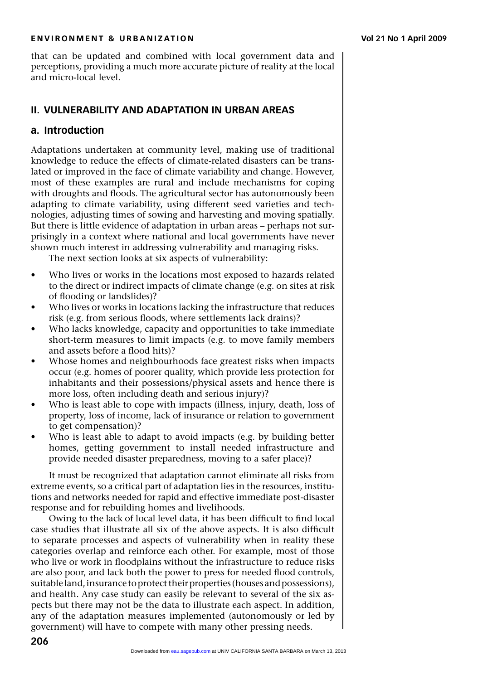that can be updated and combined with local government data and perceptions, providing a much more accurate picture of reality at the local and micro-local level.

# **II. VULNERABILITY AND ADAPTATION IN URBAN AREAS**

# **a. Introduction**

Adaptations undertaken at community level, making use of traditional knowledge to reduce the effects of climate-related disasters can be translated or improved in the face of climate variability and change. However, most of these examples are rural and include mechanisms for coping with droughts and floods. The agricultural sector has autonomously been adapting to climate variability, using different seed varieties and technologies, adjusting times of sowing and harvesting and moving spatially. But there is little evidence of adaptation in urban areas – perhaps not surprisingly in a context where national and local governments have never shown much interest in addressing vulnerability and managing risks.

The next section looks at six aspects of vulnerability:

- Who lives or works in the locations most exposed to hazards related to the direct or indirect impacts of climate change (e.g. on sites at risk of flooding or landslides)?
- Who lives or works in locations lacking the infrastructure that reduces risk (e.g. from serious floods, where settlements lack drains)?
- Who lacks knowledge, capacity and opportunities to take immediate short-term measures to limit impacts (e.g. to move family members and assets before a flood hits)?
- Whose homes and neighbourhoods face greatest risks when impacts occur (e.g. homes of poorer quality, which provide less protection for inhabitants and their possessions/physical assets and hence there is more loss, often including death and serious injury)?
- Who is least able to cope with impacts (illness, injury, death, loss of property, loss of income, lack of insurance or relation to government to get compensation)?
- Who is least able to adapt to avoid impacts (e.g. by building better homes, getting government to install needed infrastructure and provide needed disaster preparedness, moving to a safer place)?

It must be recognized that adaptation cannot eliminate all risks from extreme events, so a critical part of adaptation lies in the resources, institutions and networks needed for rapid and effective immediate post-disaster response and for rebuilding homes and livelihoods.

Owing to the lack of local level data, it has been difficult to find local case studies that illustrate all six of the above aspects. It is also difficult to separate processes and aspects of vulnerability when in reality these categories overlap and reinforce each other. For example, most of those who live or work in floodplains without the infrastructure to reduce risks are also poor, and lack both the power to press for needed flood controls, suitable land, insurance to protect their properties (houses and possessions), and health. Any case study can easily be relevant to several of the six aspects but there may not be the data to illustrate each aspect. In addition, any of the adaptation measures implemented (autonomously or led by government) will have to compete with many other pressing needs.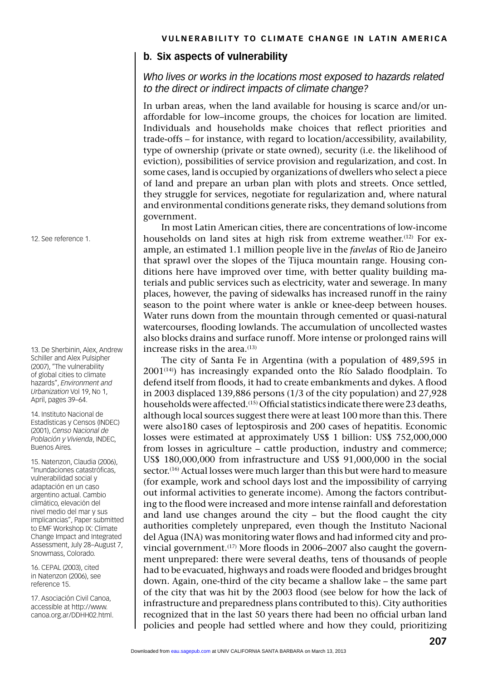# **b. Six aspects of vulnerability**

*Who lives or works in the locations most exposed to hazards related to the direct or indirect impacts of climate change?*

In urban areas, when the land available for housing is scarce and/or unaffordable for low–income groups, the choices for location are limited. Individuals and households make choices that reflect priorities and trade-offs – for instance, with regard to location/accessibility, availability, type of ownership (private or state owned), security (i.e. the likelihood of eviction), possibilities of service provision and regularization, and cost. In some cases, land is occupied by organizations of dwellers who select a piece of land and prepare an urban plan with plots and streets. Once settled, they struggle for services, negotiate for regularization and, where natural and environmental conditions generate risks, they demand solutions from government.

In most Latin American cities, there are concentrations of low-income households on land sites at high risk from extreme weather.<sup>(12)</sup> For example, an estimated 1.1 million people live in the *favelas* of Rio de Janeiro that sprawl over the slopes of the Tijuca mountain range. Housing conditions here have improved over time, with better quality building materials and public services such as electricity, water and sewerage. In many places, however, the paving of sidewalks has increased runoff in the rainy season to the point where water is ankle or knee-deep between houses. Water runs down from the mountain through cemented or quasi-natural watercourses, flooding lowlands. The accumulation of uncollected wastes also blocks drains and surface runoff. More intense or prolonged rains will increase risks in the area. $(13)$ 

The city of Santa Fe in Argentina (with a population of 489,595 in  $2001^{(14)}$ ) has increasingly expanded onto the Río Salado floodplain. To defend itself from floods, it had to create embankments and dykes. A flood in 2003 displaced 139,886 persons (1/3 of the city population) and 27,928 households were affected.<sup>(15)</sup> Official statistics indicate there were 23 deaths, although local sources suggest there were at least 100 more than this. There were also180 cases of leptospirosis and 200 cases of hepatitis. Economic losses were estimated at approximately US\$ 1 billion: US\$ 752,000,000 from losses in agriculture – cattle production, industry and commerce; US\$ 180,000,000 from infrastructure and US\$ 91,000,000 in the social sector.<sup>(16)</sup> Actual losses were much larger than this but were hard to measure (for example, work and school days lost and the impossibility of carrying out informal activities to generate income). Among the factors contributing to the flood were increased and more intense rainfall and deforestation and land use changes around the city  $-$  but the flood caught the city authorities completely unprepared, even though the Instituto Nacional del Agua (INA) was monitoring water flows and had informed city and provincial government.<sup> $(17)$ </sup> More floods in 2006–2007 also caught the government unprepared: there were several deaths, tens of thousands of people had to be evacuated, highways and roads were flooded and bridges brought down. Again, one-third of the city became a shallow lake – the same part of the city that was hit by the 2003 flood (see below for how the lack of infrastructure and preparedness plans contributed to this). City authorities recognized that in the last 50 years there had been no official urban land policies and people had settled where and how they could, prioritizing

12. See reference 1.

13. De Sherbinin, Alex, Andrew Schiller and Alex Pulsipher (2007), "The vulnerability of global cities to climate hazards", *Environment and Urbanization* Vol 19, No 1, April, pages 39–64.

14. Instituto Nacional de Estadísticas y Censos (INDEC) (2001), *Censo Nacional de Población y Vivienda*, INDEC, Buenos Aires.

15. Natenzon, Claudia (2006), "Inundaciones catastróficas, vulnerabilidad social y adaptación en un caso argentino actual. Cambio climático, elevación del nivel medio del mar y sus implicancias", Paper submitted to EMF Workshop IX: Climate Change Impact and Integrated Assessment, July 28–August 7, Snowmass, Colorado.

16. CEPAL (2003), cited in Natenzon (2006), see reference 15.

17. Asociación Civil Canoa, accessible at http://www. canoa.org.ar/DDHH02.html.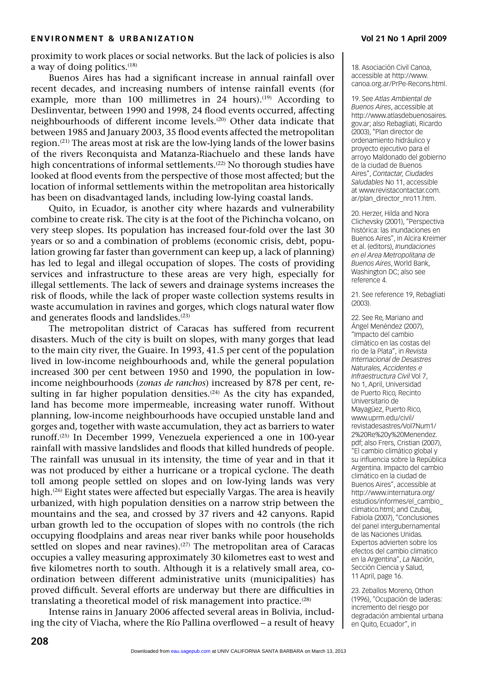proximity to work places or social networks. But the lack of policies is also a way of doing politics.(18)

Buenos Aires has had a significant increase in annual rainfall over recent decades, and increasing numbers of intense rainfall events (for example, more than 100 millimetres in 24 hours).<sup>(19)</sup> According to DesIinventar, between 1990 and 1998, 24 flood events occurred, affecting neighbourhoods of different income levels.(20) Other data indicate that between 1985 and January 2003, 35 flood events affected the metropolitan region.(21) The areas most at risk are the low-lying lands of the lower basins of the rivers Reconquista and Matanza-Riachuelo and these lands have high concentrations of informal settlements.<sup>(22)</sup> No thorough studies have looked at flood events from the perspective of those most affected; but the location of informal settlements within the metropolitan area historically has been on disadvantaged lands, including low-lying coastal lands.

Quito, in Ecuador, is another city where hazards and vulnerability combine to create risk. The city is at the foot of the Pichincha volcano, on very steep slopes. Its population has increased four-fold over the last 30 years or so and a combination of problems (economic crisis, debt, population growing far faster than government can keep up, a lack of planning) has led to legal and illegal occupation of slopes. The costs of providing services and infrastructure to these areas are very high, especially for illegal settlements. The lack of sewers and drainage systems increases the risk of floods, while the lack of proper waste collection systems results in waste accumulation in ravines and gorges, which clogs natural water flow and generates floods and landslides.<sup>(23)</sup>

The metropolitan district of Caracas has suffered from recurrent disasters. Much of the city is built on slopes, with many gorges that lead to the main city river, the Guaire. In 1993, 41.5 per cent of the population lived in low-income neighbourhoods and, while the general population increased 300 per cent between 1950 and 1990, the population in lowincome neighbourhoods (*zonas de ranchos*) increased by 878 per cent, resulting in far higher population densities.<sup> $(24)$ </sup> As the city has expanded, land has become more impermeable, increasing water runoff. Without planning, low-income neighbourhoods have occupied unstable land and gorges and, together with waste accumulation, they act as barriers to water runoff.(25) In December 1999, Venezuela experienced a one in 100-year rainfall with massive landslides and floods that killed hundreds of people. The rainfall was unusual in its intensity, the time of year and in that it was not produced by either a hurricane or a tropical cyclone. The death toll among people settled on slopes and on low-lying lands was very high.<sup>(26)</sup> Eight states were affected but especially Vargas. The area is heavily urbanized, with high population densities on a narrow strip between the mountains and the sea, and crossed by 37 rivers and 42 canyons. Rapid urban growth led to the occupation of slopes with no controls (the rich occupying floodplains and areas near river banks while poor households settled on slopes and near ravines).<sup>(27)</sup> The metropolitan area of Caracas occupies a valley measuring approximately 30 kilometres east to west and five kilometres north to south. Although it is a relatively small area, coordination between different administrative units (municipalities) has proved difficult. Several efforts are underway but there are difficulties in translating a theoretical model of risk management into practice.<sup>(28)</sup>

Intense rains in January 2006 affected several areas in Bolivia, including the city of Viacha, where the Río Pallina overflowed – a result of heavy 18. Asociación Civil Canoa, accessible at http://www. canoa.org.ar/PrPe-Recons.html.

19. See *Atlas Ambiental de Buenos Aires*, accessible at http://www.atlasdebuenosaires. gov.ar; also Rebagliati, Ricardo (2003), "Plan director de ordenamiento hidráulico y proyecto ejecutivo para el arroyo Maldonado del gobierno de la ciudad de Buenos Aires", *Contactar, Ciudades Saludables* No 11, accessible at www.revistacontactar.com. ar/plan\_director\_nro11.htm.

20. Herzer, Hilda and Nora Clichevsky (2001), "Perspectiva histórica: las inundaciones en Buenos Aires", in Alcira Kreimer et al. (editors), *Inundaciones en el Area Metropolitana de Buenos Aires*, World Bank, Washington DC; also see reference 4.

21. See reference 19, Rebagliati (2003).

22. See Re, Mariano and Ángel Menéndez (2007), "Impacto del cambio climático en las costas del río de la Plata", in *Revista Internacional de Desastres Naturales, Accidentes e Infraestructura Civil* Vol 7, No 1, April, Universidad de Puerto Rico, Recinto Universitario de Mayagüez, Puerto Rico, www.uprm.edu/civil/ revistadesastres/Vol7Num1/ 2%20Re%20y%20Menendez. pdf; also Frers, Cristian (2007), "El cambio climático global y su influencia sobre la República Argentina. Impacto del cambio climático en la ciudad de Buenos Aires", accessible at http://www.internatura.org/ estudios/informes/el\_cambio\_ climatico.html; and Czubaj, Fabiola (2007), "Conclusiones del panel intergubernamental de las Naciones Unidas. Expertos advierten sobre los efectos del cambio climatico en la Argentina", *La Nación*, Sección Ciencia y Salud, 11 April, page 16.

23. Zeballos Moreno, Othon (1996), "Ocupación de laderas: incremento del riesgo por degradación ambiental urbana en Quito, Ecuador", in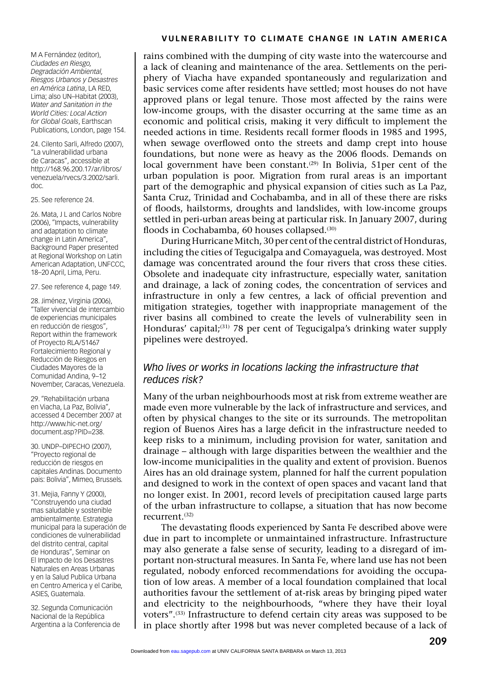M A Fernández (editor), *Ciudades en Riesgo, Degradación Ambiental, Riesgos Urbanos y Desastres en América Latina*, LA RED, Lima; also UN–Habitat (2003), *Water and Sanitation in the World Cities: Local Action for Global Goals*, Earthscan Publications, London, page 154.

24. Cilento Sarli, Alfredo (2007), "La vulnerabilidad urbana de Caracas", accessible at http://168.96.200.17/ar/libros/ venezuela/rvecs/3.2002/sarli. doc.

25. See reference 24.

26. Mata, J L and Carlos Nobre (2006), "Impacts, vulnerability and adaptation to climate change in Latin America", Background Paper presented at Regional Workshop on Latin American Adaptation, UNFCCC, 18–20 April, Lima, Peru.

27. See reference 4, page 149.

28. Jiménez, Virginia (2006), "Taller vivencial de intercambio de experiencias municipales en reducción de riesgos", Report within the framework of Proyecto RLA/51467 Fortalecimiento Regional y Reducción de Riesgos en Ciudades Mayores de la Comunidad Andina, 9–12 November, Caracas, Venezuela.

29. "Rehabilitación urbana en Viacha, La Paz, Bolivia", accessed 4 December 2007 at http://www.hic-net.org/ document.asp?PID=238.

30. UNDP–DIPECHO (2007), "Proyecto regional de reducción de riesgos en capitales Andinas. Documento pais: Bolivia", Mimeo, Brussels.

31. Mejia, Fanny Y (2000), "Construyendo una ciudad mas saludable y sostenible ambientalmente. Estrategia municipal para la superación de condiciones de vulnerabilidad del distrito central, capital de Honduras", Seminar on El Impacto de los Desastres Naturales en Areas Urbanas y en la Salud Publica Urbana en Centro America y el Caribe, ASIES, Guatemala.

32. Segunda Comunicación Nacional de la República Argentina a la Conferencia de rains combined with the dumping of city waste into the watercourse and a lack of cleaning and maintenance of the area. Settlements on the periphery of Viacha have expanded spontaneously and regularization and basic services come after residents have settled; most houses do not have approved plans or legal tenure. Those most affected by the rains were low-income groups, with the disaster occurring at the same time as an economic and political crisis, making it very difficult to implement the needed actions in time. Residents recall former floods in 1985 and 1995, when sewage overflowed onto the streets and damp crept into house foundations, but none were as heavy as the 2006 floods. Demands on local government have been constant.<sup>(29)</sup> In Bolivia, 51per cent of the urban population is poor. Migration from rural areas is an important part of the demographic and physical expansion of cities such as La Paz, Santa Cruz, Trinidad and Cochabamba, and in all of these there are risks of floods, hailstorms, droughts and landslides, with low-income groups settled in peri-urban areas being at particular risk. In January 2007, during floods in Cochabamba, 60 houses collapsed.<sup>(30)</sup>

During Hurricane Mitch, 30 per cent of the central district of Honduras, including the cities of Tegucigalpa and Comayaguela, was destroyed. Most damage was concentrated around the four rivers that cross these cities. Obsolete and inadequate city infrastructure, especially water, sanitation and drainage, a lack of zoning codes, the concentration of services and infrastructure in only a few centres, a lack of official prevention and mitigation strategies, together with inappropriate management of the river basins all combined to create the levels of vulnerability seen in Honduras' capital;<sup>(31)</sup> 78 per cent of Tegucigalpa's drinking water supply pipelines were destroyed.

# *Who lives or works in locations lacking the infrastructure that reduces risk?*

Many of the urban neighbourhoods most at risk from extreme weather are made even more vulnerable by the lack of infrastructure and services, and often by physical changes to the site or its surrounds. The metropolitan region of Buenos Aires has a large deficit in the infrastructure needed to keep risks to a minimum, including provision for water, sanitation and drainage – although with large disparities between the wealthier and the low-income municipalities in the quality and extent of provision. Buenos Aires has an old drainage system, planned for half the current population and designed to work in the context of open spaces and vacant land that no longer exist. In 2001, record levels of precipitation caused large parts of the urban infrastructure to collapse, a situation that has now become recurrent.(32)

The devastating floods experienced by Santa Fe described above were due in part to incomplete or unmaintained infrastructure. Infrastructure may also generate a false sense of security, leading to a disregard of important non-structural measures. In Santa Fe, where land use has not been regulated, nobody enforced recommendations for avoiding the occupation of low areas. A member of a local foundation complained that local authorities favour the settlement of at-risk areas by bringing piped water and electricity to the neighbourhoods, "where they have their loyal voters".<sup>(33)</sup> Infrastructure to defend certain city areas was supposed to be in place shortly after 1998 but was never completed because of a lack of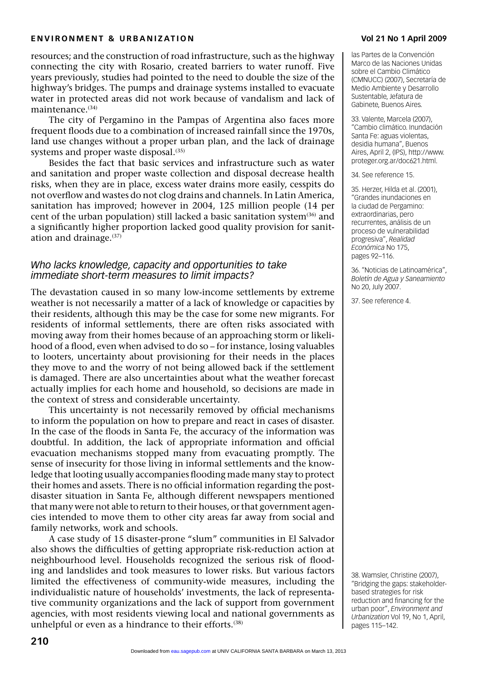resources; and the construction of road infrastructure, such as the highway connecting the city with Rosario, created barriers to water runoff. Five years previously, studies had pointed to the need to double the size of the highway's bridges. The pumps and drainage systems installed to evacuate water in protected areas did not work because of vandalism and lack of maintenance $(34)$ 

The city of Pergamino in the Pampas of Argentina also faces more frequent floods due to a combination of increased rainfall since the 1970s, land use changes without a proper urban plan, and the lack of drainage systems and proper waste disposal.<sup>(35)</sup>

Besides the fact that basic services and infrastructure such as water and sanitation and proper waste collection and disposal decrease health risks, when they are in place, excess water drains more easily, cesspits do not overflow and wastes do not clog drains and channels. In Latin America, sanitation has improved; however in 2004, 125 million people (14 per cent of the urban population) still lacked a basic sanitation system<sup>(36)</sup> and a significantly higher proportion lacked good quality provision for sanitation and drainage.(37)

# *Who lacks knowledge, capacity and opportunities to take immediate short-term measures to limit impacts?*

The devastation caused in so many low-income settlements by extreme weather is not necessarily a matter of a lack of knowledge or capacities by their residents, although this may be the case for some new migrants. For residents of informal settlements, there are often risks associated with moving away from their homes because of an approaching storm or likelihood of a flood, even when advised to do so – for instance, losing valuables to looters, uncertainty about provisioning for their needs in the places they move to and the worry of not being allowed back if the settlement is damaged. There are also uncertainties about what the weather forecast actually implies for each home and household, so decisions are made in the context of stress and considerable uncertainty.

This uncertainty is not necessarily removed by official mechanisms to inform the population on how to prepare and react in cases of disaster. In the case of the floods in Santa Fe, the accuracy of the information was doubtful. In addition, the lack of appropriate information and official evacuation mechanisms stopped many from evacuating promptly. The sense of insecurity for those living in informal settlements and the knowledge that looting usually accompanies flooding made many stay to protect their homes and assets. There is no official information regarding the postdisaster situation in Santa Fe, although different newspapers mentioned that many were not able to return to their houses, or that government agencies intended to move them to other city areas far away from social and family networks, work and schools.

A case study of 15 disaster-prone "slum" communities in El Salvador also shows the difficulties of getting appropriate risk-reduction action at neighbourhood level. Households recognized the serious risk of flooding and landslides and took measures to lower risks. But various factors limited the effectiveness of community-wide measures, including the individualistic nature of households' investments, the lack of representative community organizations and the lack of support from government agencies, with most residents viewing local and national governments as unhelpful or even as a hindrance to their efforts.<sup>(38)</sup>

las Partes de la Convención Marco de las Naciones Unidas sobre el Cambio Climático (CMNUCC) (2007), Secretaría de Medio Ambiente y Desarrollo Sustentable, Jefatura de Gabinete, Buenos Aires.

33. Valente, Marcela (2007), "Cambio climático. Inundación Santa Fe: aguas violentas, desidia humana", Buenos Aires, April 2, (IPS), http://www. proteger.org.ar/doc621.html.

34. See reference 15.

35. Herzer, Hilda et al. (2001), "Grandes inundaciones en la ciudad de Pergamino: extraordinarias, pero recurrentes, análisis de un proceso de vulnerabilidad progresiva", *Realidad Económica* No 175, pages 92–116.

36. "Noticias de Latinoamérica", *Boletín de Agua y Saneamiento* No 20, July 2007.

37. See reference 4.

38. Wamsler, Christine (2007), "Bridging the gaps: stakeholderbased strategies for risk reduction and financing for the urban poor", *Environment and Urbanization* Vol 19, No 1, April, pages 115–142.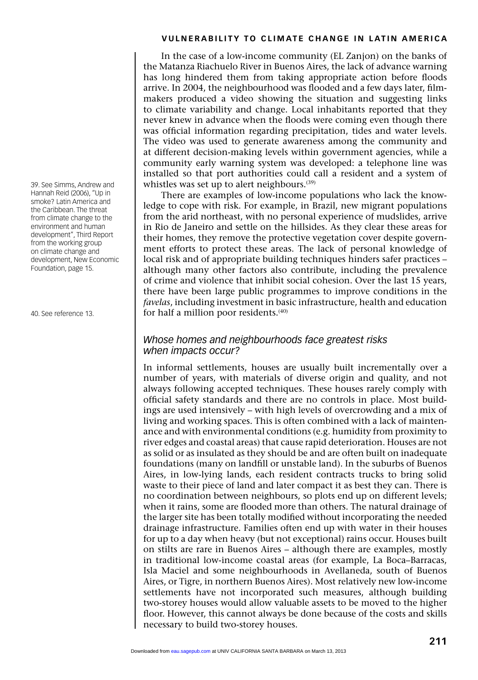In the case of a low-income community (EL Zanjon) on the banks of the Matanza Riachuelo River in Buenos Aires, the lack of advance warning has long hindered them from taking appropriate action before floods arrive. In 2004, the neighbourhood was flooded and a few days later, filmmakers produced a video showing the situation and suggesting links to climate variability and change. Local inhabitants reported that they never knew in advance when the floods were coming even though there was official information regarding precipitation, tides and water levels. The video was used to generate awareness among the community and at different decision-making levels within government agencies, while a community early warning system was developed: a telephone line was installed so that port authorities could call a resident and a system of whistles was set up to alert neighbours.<sup>(39)</sup>

There are examples of low-income populations who lack the knowledge to cope with risk. For example, in Brazil, new migrant populations from the arid northeast, with no personal experience of mudslides, arrive in Rio de Janeiro and settle on the hillsides. As they clear these areas for their homes, they remove the protective vegetation cover despite government efforts to protect these areas. The lack of personal knowledge of local risk and of appropriate building techniques hinders safer practices – although many other factors also contribute, including the prevalence of crime and violence that inhibit social cohesion. Over the last 15 years, there have been large public programmes to improve conditions in the *favelas*, including investment in basic infrastructure, health and education for half a million poor residents.<sup>(40)</sup>

# *Whose homes and neighbourhoods face greatest risks when impacts occur?*

In informal settlements, houses are usually built incrementally over a number of years, with materials of diverse origin and quality, and not always following accepted techniques. These houses rarely comply with official safety standards and there are no controls in place. Most buildings are used intensively – with high levels of overcrowding and a mix of living and working spaces. This is often combined with a lack of maintenance and with environmental conditions (e.g. humidity from proximity to river edges and coastal areas) that cause rapid deterioration. Houses are not as solid or as insulated as they should be and are often built on inadequate foundations (many on landfill or unstable land). In the suburbs of Buenos Aires, in low-lying lands, each resident contracts trucks to bring solid waste to their piece of land and later compact it as best they can. There is no coordination between neighbours, so plots end up on different levels; when it rains, some are flooded more than others. The natural drainage of the larger site has been totally modified without incorporating the needed drainage infrastructure. Families often end up with water in their houses for up to a day when heavy (but not exceptional) rains occur. Houses built on stilts are rare in Buenos Aires – although there are examples, mostly in traditional low-income coastal areas (for example, La Boca–Barracas, Isla Maciel and some neighbourhoods in Avellaneda, south of Buenos Aires, or Tigre, in northern Buenos Aires). Most relatively new low-income settlements have not incorporated such measures, although building two-storey houses would allow valuable assets to be moved to the higher floor. However, this cannot always be done because of the costs and skills necessary to build two-storey houses.

39. See Simms, Andrew and Hannah Reid (2006), "Up in smoke? Latin America and the Caribbean. The threat from climate change to the environment and human development", Third Report from the working group on climate change and development, New Economic Foundation, page 15.

40. See reference 13.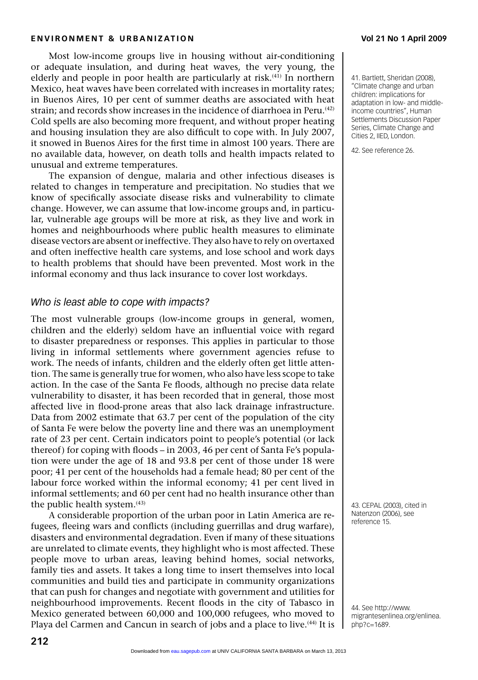Most low-income groups live in housing without air-conditioning or adequate insulation, and during heat waves, the very young, the elderly and people in poor health are particularly at risk.<sup>(41)</sup> In northern Mexico, heat waves have been correlated with increases in mortality rates; in Buenos Aires, 10 per cent of summer deaths are associated with heat strain; and records show increases in the incidence of diarrhoea in Peru.<sup>(42)</sup> Cold spells are also becoming more frequent, and without proper heating and housing insulation they are also difficult to cope with. In July 2007, it snowed in Buenos Aires for the first time in almost 100 years. There are no available data, however, on death tolls and health impacts related to unusual and extreme temperatures.

The expansion of dengue, malaria and other infectious diseases is related to changes in temperature and precipitation. No studies that we know of specifically associate disease risks and vulnerability to climate change. However, we can assume that low-income groups and, in particular, vulnerable age groups will be more at risk, as they live and work in homes and neighbourhoods where public health measures to eliminate disease vectors are absent or ineffective. They also have to rely on overtaxed and often ineffective health care systems, and lose school and work days to health problems that should have been prevented. Most work in the informal economy and thus lack insurance to cover lost workdays.

# *Who is least able to cope with impacts?*

The most vulnerable groups (low-income groups in general, women, children and the elderly) seldom have an influential voice with regard to disaster preparedness or responses. This applies in particular to those living in informal settlements where government agencies refuse to work. The needs of infants, children and the elderly often get little attention. The same is generally true for women, who also have less scope to take action. In the case of the Santa Fe floods, although no precise data relate vulnerability to disaster, it has been recorded that in general, those most affected live in flood-prone areas that also lack drainage infrastructure. Data from 2002 estimate that 63.7 per cent of the population of the city of Santa Fe were below the poverty line and there was an unemployment rate of 23 per cent. Certain indicators point to people's potential (or lack thereof) for coping with floods – in 2003, 46 per cent of Santa Fe's population were under the age of 18 and 93.8 per cent of those under 18 were poor; 41 per cent of the households had a female head; 80 per cent of the labour force worked within the informal economy; 41 per cent lived in informal settlements; and 60 per cent had no health insurance other than the public health system.<sup>(43)</sup>

A considerable proportion of the urban poor in Latin America are refugees, fleeing wars and conflicts (including guerrillas and drug warfare), disasters and environmental degradation. Even if many of these situations are unrelated to climate events, they highlight who is most affected. These people move to urban areas, leaving behind homes, social networks, family ties and assets. It takes a long time to insert themselves into local communities and build ties and participate in community organizations that can push for changes and negotiate with government and utilities for neighbourhood improvements. Recent floods in the city of Tabasco in Mexico generated between 60,000 and 100,000 refugees, who moved to Playa del Carmen and Cancun in search of jobs and a place to live.<sup>(44)</sup> It is

41. Bartlett, Sheridan (2008), "Climate change and urban children: implications for adaptation in low- and middleincome countries", Human Settlements Discussion Paper Series, Climate Change and Cities 2, IIED, London.

42. See reference 26.

43. CEPAL (2003), cited in Natenzon (2006), see reference 15.

44. See http://www. migrantesenlinea.org/enlinea. php?c=1689.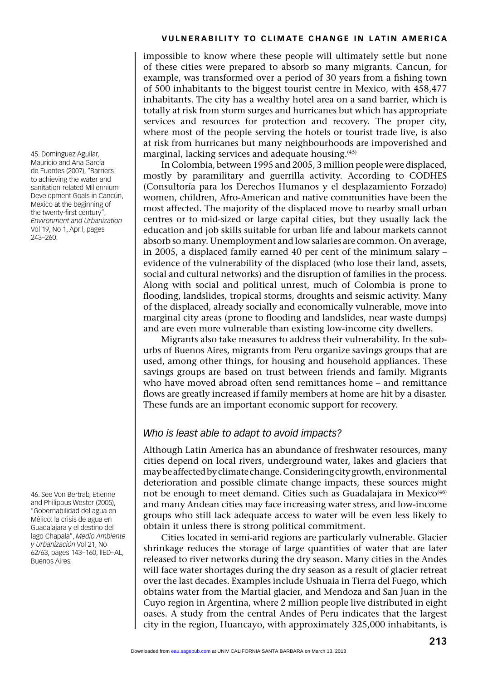impossible to know where these people will ultimately settle but none of these cities were prepared to absorb so many migrants. Cancun, for example, was transformed over a period of 30 years from a fishing town of 500 inhabitants to the biggest tourist centre in Mexico, with 458,477 inhabitants. The city has a wealthy hotel area on a sand barrier, which is totally at risk from storm surges and hurricanes but which has appropriate services and resources for protection and recovery. The proper city, where most of the people serving the hotels or tourist trade live, is also at risk from hurricanes but many neighbourhoods are impoverished and marginal, lacking services and adequate housing.<sup>(45)</sup>

In Colombia, between 1995 and 2005, 3 million people were displaced, mostly by paramilitary and guerrilla activity. According to CODHES (Consultoría para los Derechos Humanos y el desplazamiento Forzado) women, children, Afro-American and native communities have been the most affected. The majority of the displaced move to nearby small urban centres or to mid-sized or large capital cities, but they usually lack the education and job skills suitable for urban life and labour markets cannot absorb so many. Unemployment and low salaries are common. On average, in 2005, a displaced family earned 40 per cent of the minimum salary – evidence of the vulnerability of the displaced (who lose their land, assets, social and cultural networks) and the disruption of families in the process. Along with social and political unrest, much of Colombia is prone to flooding, landslides, tropical storms, droughts and seismic activity. Many of the displaced, already socially and economically vulnerable, move into marginal city areas (prone to flooding and landslides, near waste dumps) and are even more vulnerable than existing low-income city dwellers.

Migrants also take measures to address their vulnerability. In the suburbs of Buenos Aires, migrants from Peru organize savings groups that are used, among other things, for housing and household appliances. These savings groups are based on trust between friends and family. Migrants who have moved abroad often send remittances home – and remittance flows are greatly increased if family members at home are hit by a disaster. These funds are an important economic support for recovery.

# *Who is least able to adapt to avoid impacts?*

Although Latin America has an abundance of freshwater resources, many cities depend on local rivers, underground water, lakes and glaciers that may be affected by climate change. Considering city growth, environmental deterioration and possible climate change impacts, these sources might not be enough to meet demand. Cities such as Guadalajara in Mexico<sup>(46)</sup> and many Andean cities may face increasing water stress, and low-income groups who still lack adequate access to water will be even less likely to obtain it unless there is strong political commitment.

Cities located in semi-arid regions are particularly vulnerable. Glacier shrinkage reduces the storage of large quantities of water that are later released to river networks during the dry season. Many cities in the Andes will face water shortages during the dry season as a result of glacier retreat over the last decades. Examples include Ushuaia in Tierra del Fuego, which obtains water from the Martial glacier, and Mendoza and San Juan in the Cuyo region in Argentina, where 2 million people live distributed in eight oases. A study from the central Andes of Peru indicates that the largest city in the region, Huancayo, with approximately 325,000 inhabitants, is

45. Domínguez Aguilar, Mauricio and Ana García de Fuentes (2007), "Barriers to achieving the water and sanitation-related Millennium Development Goals in Cancún, Mexico at the beginning of the twenty-first century", *Environment and Urbanization* Vol 19, No 1, April, pages 243–260.

46. See Von Bertrab, Etienne and Philippus Wester (2005), "Gobernabilidad del agua en Méjico: la crisis de agua en Guadalajara y el destino del lago Chapala", *Medio Ambiente y Urbanización* Vol 21, No 62/63, pages 143–160, IIED–AL, Buenos Aires.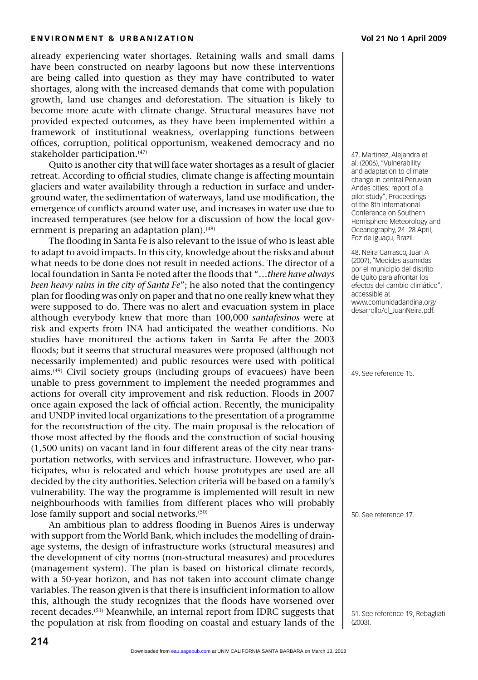already experiencing water shortages. Retaining walls and small dams have been constructed on nearby lagoons but now these interventions are being called into question as they may have contributed to water shortages, along with the increased demands that come with population growth, land use changes and deforestation. The situation is likely to become more acute with climate change. Structural measures have not provided expected outcomes, as they have been implemented within a framework of institutional weakness, overlapping functions between offices, corruption, political opportunism, weakened democracy and no stakeholder participation.<sup>(47)</sup>

Quito is another city that will face water shortages as a result of glacier retreat. According to official studies, climate change is affecting mountain glaciers and water availability through a reduction in surface and underground water, the sedimentation of waterways, land use modification, the emergence of conflicts around water use, and increases in water use due to increased temperatures (see below for a discussion of how the local government is preparing an adaptation plan). $(48)$ 

The flooding in Santa Fe is also relevant to the issue of who is least able to adapt to avoid impacts. In this city, knowledge about the risks and about what needs to be done does not result in needed actions. The director of a local foundation in Santa Fe noted after the floods that "...there have always *been heavy rains in the city of Santa Fe*"; he also noted that the contingency plan for flooding was only on paper and that no one really knew what they were supposed to do. There was no alert and evacuation system in place although everybody knew that more than 100,000 *santafesinos* were at risk and experts from INA had anticipated the weather conditions. No studies have monitored the actions taken in Santa Fe after the 2003 floods; but it seems that structural measures were proposed (although not necessarily implemented) and public resources were used with political aims.(49) Civil society groups (including groups of evacuees) have been unable to press government to implement the needed programmes and actions for overall city improvement and risk reduction. Floods in 2007 once again exposed the lack of official action. Recently, the municipality and UNDP invited local organizations to the presentation of a programme for the reconstruction of the city. The main proposal is the relocation of those most affected by the floods and the construction of social housing (1,500 units) on vacant land in four different areas of the city near transportation networks, with services and infrastructure. However, who participates, who is relocated and which house prototypes are used are all decided by the city authorities. Selection criteria will be based on a family's vulnerability. The way the programme is implemented will result in new neighbourhoods with families from different places who will probably lose family support and social networks.<sup>(50)</sup>

An ambitious plan to address flooding in Buenos Aires is underway with support from the World Bank, which includes the modelling of drainage systems, the design of infrastructure works (structural measures) and the development of city norms (non-structural measures) and procedures (management system). The plan is based on historical climate records, with a 50-year horizon, and has not taken into account climate change variables. The reason given is that there is insufficient information to allow this, although the study recognizes that the floods have worsened over recent decades.(51) Meanwhile, an internal report from IDRC suggests that the population at risk from flooding on coastal and estuary lands of the

47. Martinez, Alejandra et al. (2006), "Vulnerability and adaptation to climate change in central Peruvian Andes cities: report of a pilot study", Proceedings of the 8th International Conference on Southern Hemisphere Meteorology and Oceanography, 24–28 April, Foz de Iguaçu, Brazil.

48. Neira Carrasco, Juan A (2007), "Medidas asumidas por el municipio del distrito de Quito para afrontar los efectos del cambio climático", accessible at www.comunidadandina.org/ desarrollo/cl\_JuanNeira.pdf.

49. See reference 15.

50. See reference 17.

51. See reference 19, Rebagliati (2003).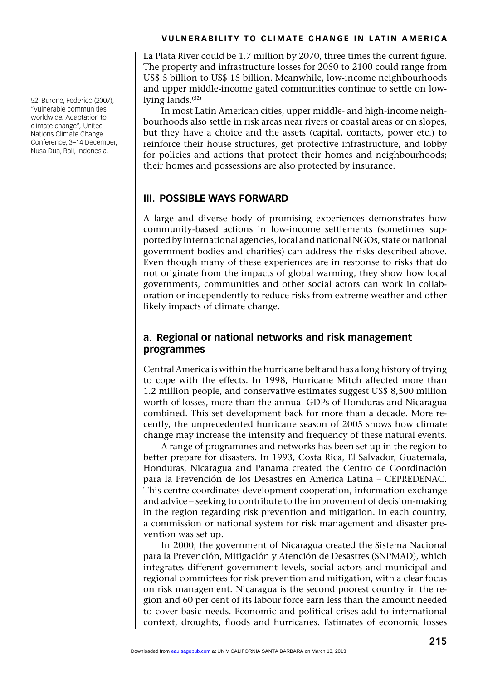La Plata River could be 1.7 million by 2070, three times the current figure. The property and infrastructure losses for 2050 to 2100 could range from US\$ 5 billion to US\$ 15 billion. Meanwhile, low-income neighbourhoods and upper middle-income gated communities continue to settle on lowlying lands.<sup>(52)</sup>

In most Latin American cities, upper middle- and high-income neighbourhoods also settle in risk areas near rivers or coastal areas or on slopes, but they have a choice and the assets (capital, contacts, power etc.) to reinforce their house structures, get protective infrastructure, and lobby for policies and actions that protect their homes and neighbourhoods; their homes and possessions are also protected by insurance.

# **III. POSSIBLE WAYS FORWARD**

A large and diverse body of promising experiences demonstrates how community-based actions in low-income settlements (sometimes supported by international agencies, local and national NGOs, state or national government bodies and charities) can address the risks described above. Even though many of these experiences are in response to risks that do not originate from the impacts of global warming, they show how local governments, communities and other social actors can work in collaboration or independently to reduce risks from extreme weather and other likely impacts of climate change.

# **a. Regional or national networks and risk management programmes**

Central America is within the hurricane belt and has a long history of trying to cope with the effects. In 1998, Hurricane Mitch affected more than 1.2 million people, and conservative estimates suggest US\$ 8,500 million worth of losses, more than the annual GDPs of Honduras and Nicaragua combined. This set development back for more than a decade. More recently, the unprecedented hurricane season of 2005 shows how climate change may increase the intensity and frequency of these natural events.

A range of programmes and networks has been set up in the region to better prepare for disasters. In 1993, Costa Rica, El Salvador, Guatemala, Honduras, Nicaragua and Panama created the Centro de Coordinación para la Prevención de los Desastres en América Latina – CEPREDENAC. This centre coordinates development cooperation, information exchange and advice – seeking to contribute to the improvement of decision-making in the region regarding risk prevention and mitigation. In each country, a commission or national system for risk management and disaster prevention was set up.

In 2000, the government of Nicaragua created the Sistema Nacional para la Prevención, Mitigación y Atención de Desastres (SNPMAD), which integrates different government levels, social actors and municipal and regional committees for risk prevention and mitigation, with a clear focus on risk management. Nicaragua is the second poorest country in the region and 60 per cent of its labour force earn less than the amount needed to cover basic needs. Economic and political crises add to international context, droughts, floods and hurricanes. Estimates of economic losses

52. Burone, Federico (2007), "Vulnerable communities worldwide*.* Adaptation to climate change"*,* United Nations Climate Change Conference, 3–14 December, Nusa Dua, Bali, Indonesia.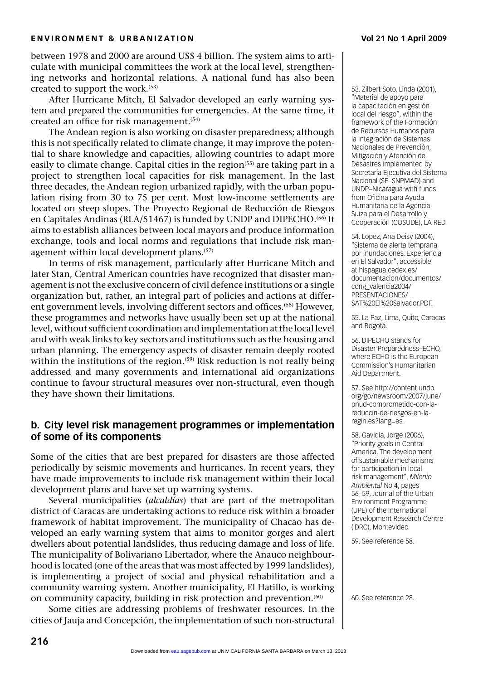between 1978 and 2000 are around US\$ 4 billion. The system aims to articulate with municipal committees the work at the local level, strengthening networks and horizontal relations. A national fund has also been created to support the work.(53)

After Hurricane Mitch, El Salvador developed an early warning system and prepared the communities for emergencies. At the same time, it created an office for risk management.<sup>(54)</sup>

The Andean region is also working on disaster preparedness; although this is not specifically related to climate change, it may improve the potential to share knowledge and capacities, allowing countries to adapt more easily to climate change. Capital cities in the region<sup>(55)</sup> are taking part in a project to strengthen local capacities for risk management. In the last three decades, the Andean region urbanized rapidly, with the urban population rising from 30 to 75 per cent. Most low-income settlements are located on steep slopes. The Proyecto Regional de Reducción de Riesgos en Capitales Andinas (RLA/51467) is funded by UNDP and DIPECHO.<sup>(56)</sup> It aims to establish alliances between local mayors and produce information exchange, tools and local norms and regulations that include risk management within local development plans.<sup>(57)</sup>

In terms of risk management, particularly after Hurricane Mitch and later Stan, Central American countries have recognized that disaster management is not the exclusive concern of civil defence institutions or a single organization but, rather, an integral part of policies and actions at different government levels, involving different sectors and offices.<sup>(58)</sup> However, these programmes and networks have usually been set up at the national level, without sufficient coordination and implementation at the local level and with weak links to key sectors and institutions such as the housing and urban planning. The emergency aspects of disaster remain deeply rooted within the institutions of the region.<sup>(59)</sup> Risk reduction is not really being addressed and many governments and international aid organizations continue to favour structural measures over non-structural, even though they have shown their limitations.

# **b. City level risk management programmes or implementation of some of its components**

Some of the cities that are best prepared for disasters are those affected periodically by seismic movements and hurricanes. In recent years, they have made improvements to include risk management within their local development plans and have set up warning systems.

Several municipalities (*alcaldías*) that are part of the metropolitan district of Caracas are undertaking actions to reduce risk within a broader framework of habitat improvement. The municipality of Chacao has developed an early warning system that aims to monitor gorges and alert dwellers about potential landslides, thus reducing damage and loss of life. The municipality of Bolivariano Libertador, where the Anauco neighbourhood is located (one of the areas that was most affected by 1999 landslides), is implementing a project of social and physical rehabilitation and a community warning system. Another municipality, El Hatillo, is working on community capacity, building in risk protection and prevention.<sup>(60)</sup>

Some cities are addressing problems of freshwater resources. In the cities of Jauja and Concepción, the implementation of such non-structural

53. Zilbert Soto, Linda (2001), "Material de apoyo para la capacitación en gestión local del riesgo", within the framework of the Formación de Recursos Humanos para la Integración de Sistemas Nacionales de Prevención, Mitigación y Atención de Desastres implemented by Secretaría Ejecutiva del Sistema Nacional (SE–SNPMAD) and UNDP–Nicaragua with funds from Oficina para Ayuda Humanitaria de la Agencia Suiza para el Desarrollo y Cooperación (COSUDE), LA RED.

54. Lopez, Ana Deisy (2004), "Sistema de alerta temprana por inundaciones. Experiencia en El Salvador", accessible at hispagua.cedex.es/ documentacion/documentos/ cong\_valencia2004/ PRESENTACIONES/ SAT%20El%20Salvador.PDF.

55. La Paz, Lima, Quito, Caracas and Bogotá.

56. DIPECHO stands for Disaster Preparedness–ECHO, where ECHO is the European Commission's Humanitarian Aid Department.

57. See http://content.undp. org/go/newsroom/2007/june/ pnud-comprometido-con-lareduccin-de-riesgos-en-laregin.es?lang=es.

58. Gavidia, Jorge (2006), "Priority goals in Central America. The development of sustainable mechanisms for participation in local risk management", *Milenio Ambiental* No 4, pages 56–59, Journal of the Urban Environment Programme (UPE) of the International Development Research Centre (IDRC), Montevideo.

59. See reference 58.

60. See reference 28.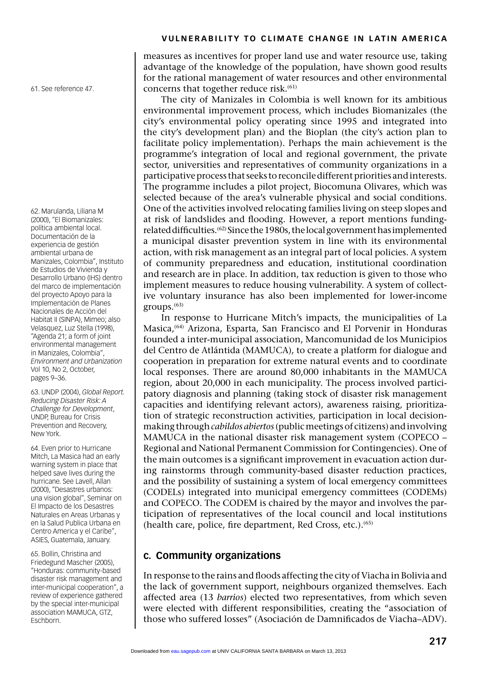measures as incentives for proper land use and water resource use, taking advantage of the knowledge of the population, have shown good results for the rational management of water resources and other environmental concerns that together reduce risk.<sup>(61)</sup>

The city of Manizales in Colombia is well known for its ambitious environmental improvement process, which includes Biomanizales (the city's environmental policy operating since 1995 and integrated into the city's development plan) and the Bioplan (the city's action plan to facilitate policy implementation). Perhaps the main achievement is the programme's integration of local and regional government, the private sector, universities and representatives of community organizations in a participative process that seeks to reconcile different priorities and interests. The programme includes a pilot project, Biocomuna Olivares, which was selected because of the area's vulnerable physical and social conditions. One of the activities involved relocating families living on steep slopes and at risk of landslides and flooding. However, a report mentions fundingrelated difficulties.<sup>(62)</sup> Since the 1980s, the local government has implemented a municipal disaster prevention system in line with its environmental action, with risk management as an integral part of local policies. A system of community preparedness and education, institutional coordination and research are in place. In addition, tax reduction is given to those who implement measures to reduce housing vulnerability. A system of collective voluntary insurance has also been implemented for lower-income  $grouns.<sup>(63)</sup>$ 

In response to Hurricane Mitch's impacts, the municipalities of La Masica,<sup>(64)</sup> Arizona, Esparta, San Francisco and El Porvenir in Honduras founded a inter-municipal association, Mancomunidad de los Municipios del Centro de Atlántida (MAMUCA), to create a platform for dialogue and cooperation in preparation for extreme natural events and to coordinate local responses. There are around 80,000 inhabitants in the MAMUCA region, about 20,000 in each municipality. The process involved participatory diagnosis and planning (taking stock of disaster risk management capacities and identifying relevant actors), awareness raising, prioritization of strategic reconstruction activities, participation in local decisionmaking through *cabildos abiertos* (public meetings of citizens) and involving MAMUCA in the national disaster risk management system (COPECO – Regional and National Permanent Commission for Contingencies). One of the main outcomes is a significant improvement in evacuation action during rainstorms through community-based disaster reduction practices, and the possibility of sustaining a system of local emergency committees (CODELs) integrated into municipal emergency committees (CODEMs) and COPECO. The CODEM is chaired by the mayor and involves the participation of representatives of the local council and local institutions (health care, police, fire department, Red Cross, etc.).<sup>(65)</sup>

# **c. Community organizations**

In response to the rains and floods affecting the city of Viacha in Bolivia and the lack of government support, neighbours organized themselves. Each affected area (13 *barrios*) elected two representatives, from which seven were elected with different responsibilities, creating the "association of those who suffered losses" (Asociación de Damnificados de Viacha–ADV).

61. See reference 47.

62. Marulanda, Liliana M (2000), "El Biomanizales: política ambiental local. Documentación de la experiencia de gestión ambiental urbana de Manizales, Colombia", Instituto de Estudios de Vivienda y Desarrollo Urbano (IHS) dentro del marco de implementación del proyecto Apoyo para la Implementación de Planes Nacionales de Acción del Habitat II (SINPA), Mimeo; also Velasquez, Luz Stella (1998), "Agenda 21; a form of joint environmental management in Manizales, Colombia", *Environment and Urbanization* Vol 10, No 2, October, pages 9–36.

63. UNDP (2004), *Global Report. Reducing Disaster Risk: A Challenge for Development*, UNDP, Bureau for Crisis Prevention and Recovery, New York.

64. Even prior to Hurricane Mitch, La Masica had an early warning system in place that helped save lives during the hurricane. See Lavell, Allan (2000), "Desastres urbanos: una vision global", Seminar on El Impacto de los Desastres Naturales en Areas Urbanas y en la Salud Publica Urbana en Centro America y el Caribe", ASIES, Guatemala, January.

65. Bollin, Christina and Friedegund Mascher (2005), "Honduras: community-based disaster risk management and inter-municipal cooperation", a review of experience gathered by the special inter-municipal association MAMUCA, GTZ, Eschborn.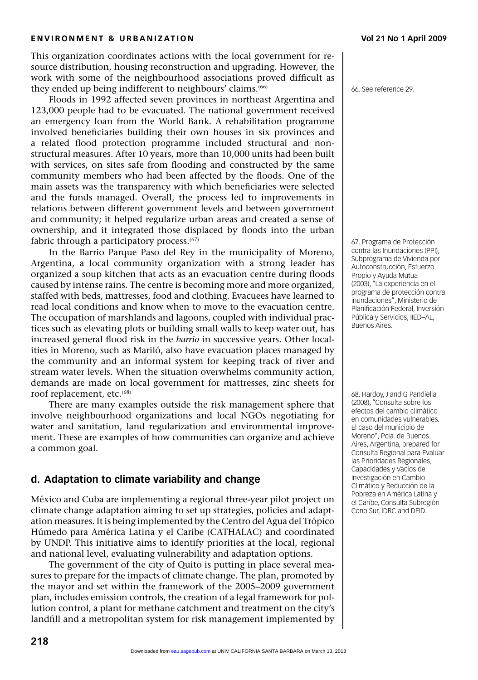This organization coordinates actions with the local government for resource distribution, housing reconstruction and upgrading. However, the work with some of the neighbourhood associations proved difficult as they ended up being indifferent to neighbours' claims.<sup>(66)</sup>

Floods in 1992 affected seven provinces in northeast Argentina and 123,000 people had to be evacuated. The national government received an emergency loan from the World Bank. A rehabilitation programme involved beneficiaries building their own houses in six provinces and a related flood protection programme included structural and nonstructural measures. After 10 years, more than 10,000 units had been built with services, on sites safe from flooding and constructed by the same community members who had been affected by the floods. One of the main assets was the transparency with which beneficiaries were selected and the funds managed. Overall, the process led to improvements in relations between different government levels and between government and community; it helped regularize urban areas and created a sense of ownership, and it integrated those displaced by floods into the urban fabric through a participatory process. $(67)$ 

In the Barrio Parque Paso del Rey in the municipality of Moreno, Argentina, a local community organization with a strong leader has organized a soup kitchen that acts as an evacuation centre during floods caused by intense rains. The centre is becoming more and more organized, staffed with beds, mattresses, food and clothing. Evacuees have learned to read local conditions and know when to move to the evacuation centre. The occupation of marshlands and lagoons, coupled with individual practices such as elevating plots or building small walls to keep water out, has increased general flood risk in the *barrio* in successive years. Other localities in Moreno, such as Mariló, also have evacuation places managed by the community and an informal system for keeping track of river and stream water levels. When the situation overwhelms community action, demands are made on local government for mattresses, zinc sheets for roof replacement, etc.<sup>(68)</sup>

There are many examples outside the risk management sphere that involve neighbourhood organizations and local NGOs negotiating for water and sanitation, land regularization and environmental improvement. These are examples of how communities can organize and achieve a common goal.

# **d. Adaptation to climate variability and change**

México and Cuba are implementing a regional three-year pilot project on climate change adaptation aiming to set up strategies, policies and adaptation measures. It is being implemented by the Centro del Agua del Trópico Húmedo para América Latina y el Caribe (CATHALAC) and coordinated by UNDP. This initiative aims to identify priorities at the local, regional and national level, evaluating vulnerability and adaptation options.

The government of the city of Quito is putting in place several measures to prepare for the impacts of climate change. The plan, promoted by the mayor and set within the framework of the 2005–2009 government plan, includes emission controls, the creation of a legal framework for pollution control, a plant for methane catchment and treatment on the city's landfill and a metropolitan system for risk management implemented by 66. See reference 29.

67. Programa de Protección contra las Inundaciones (PPI), Subprograma de Vivienda por Autoconstrucción, Esfuerzo Propio y Ayuda Mutua (2003), "La experiencia en el programa de protección contra inundaciones", Ministerio de Planificación Federal, Inversión Pública y Servicios, IIED–AL, Buenos Aires.

68. Hardoy, J and G Pandiella (2008), "Consulta sobre los efectos del cambio climático en comunidades vulnerables. El caso del municipio de Moreno", Pcia. de Buenos Aires, Argentina, prepared for Consulta Regional para Evaluar las Prioridades Regionales, Capacidades y Vacíos de Investigación en Cambio Climático y Reducción de la Pobreza en América Latina y el Caribe, Consulta Subregión Cono Sur, IDRC and DFID.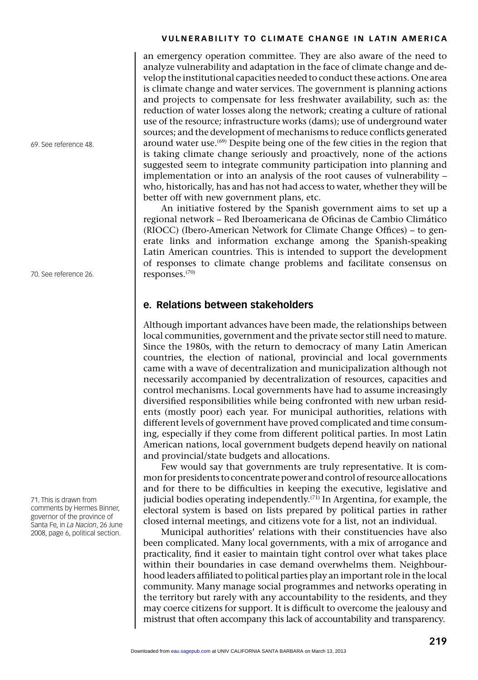an emergency operation committee. They are also aware of the need to analyze vulnerability and adaptation in the face of climate change and develop the institutional capacities needed to conduct these actions. One area is climate change and water services. The government is planning actions and projects to compensate for less freshwater availability, such as: the reduction of water losses along the network; creating a culture of rational use of the resource; infrastructure works (dams); use of underground water sources; and the development of mechanisms to reduce conflicts generated around water use.<sup>(69)</sup> Despite being one of the few cities in the region that is taking climate change seriously and proactively, none of the actions suggested seem to integrate community participation into planning and implementation or into an analysis of the root causes of vulnerability – who, historically, has and has not had access to water, whether they will be better off with new government plans, etc.

An initiative fostered by the Spanish government aims to set up a regional network – Red Iberoamericana de Oficinas de Cambio Climático (RIOCC) (Ibero-American Network for Climate Change Offices) – to generate links and information exchange among the Spanish-speaking Latin American countries. This is intended to support the development of responses to climate change problems and facilitate consensus on responses.(70)

# **e. Relations between stakeholders**

Although important advances have been made, the relationships between local communities, government and the private sector still need to mature. Since the 1980s, with the return to democracy of many Latin American countries, the election of national, provincial and local governments came with a wave of decentralization and municipalization although not necessarily accompanied by decentralization of resources, capacities and control mechanisms. Local governments have had to assume increasingly diversified responsibilities while being confronted with new urban residents (mostly poor) each year. For municipal authorities, relations with different levels of government have proved complicated and time consuming, especially if they come from different political parties. In most Latin American nations, local government budgets depend heavily on national and provincial/state budgets and allocations.

Few would say that governments are truly representative. It is common for presidents to concentrate power and control of resource allocations and for there to be difficulties in keeping the executive, legislative and judicial bodies operating independently.<sup> $(71)$ </sup> In Argentina, for example, the electoral system is based on lists prepared by political parties in rather closed internal meetings, and citizens vote for a list, not an individual.

Municipal authorities' relations with their constituencies have also been complicated. Many local governments, with a mix of arrogance and practicality, find it easier to maintain tight control over what takes place within their boundaries in case demand overwhelms them. Neighbourhood leaders affiliated to political parties play an important role in the local community. Many manage social programmes and networks operating in the territory but rarely with any accountability to the residents, and they may coerce citizens for support. It is difficult to overcome the jealousy and mistrust that often accompany this lack of accountability and transparency.

69. See reference 48.

70. See reference 26.

71. This is drawn from comments by Hermes Binner, governor of the province of Santa Fe, in *La Nacion*, 26 June 2008, page 6, political section.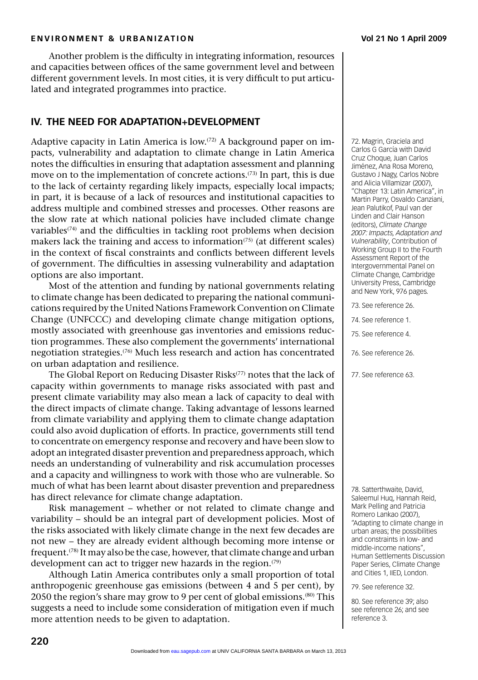Another problem is the difficulty in integrating information, resources and capacities between offices of the same government level and between different government levels. In most cities, it is very difficult to put articulated and integrated programmes into practice.

# **IV. THE NEED FOR ADAPTATION+DEVELOPMENT**

Adaptive capacity in Latin America is low.<sup>(72)</sup> A background paper on impacts, vulnerability and adaptation to climate change in Latin America notes the difficulties in ensuring that adaptation assessment and planning move on to the implementation of concrete actions.(73) In part, this is due to the lack of certainty regarding likely impacts, especially local impacts; in part, it is because of a lack of resources and institutional capacities to address multiple and combined stresses and processes. Other reasons are the slow rate at which national policies have included climate change variables<sup> $(74)$ </sup> and the difficulties in tackling root problems when decision makers lack the training and access to information<sup> $(75)$ </sup> (at different scales) in the context of fiscal constraints and conflicts between different levels of government. The difficulties in assessing vulnerability and adaptation options are also important.

Most of the attention and funding by national governments relating to climate change has been dedicated to preparing the national communications required by the United Nations Framework Convention on Climate Change (UNFCCC) and developing climate change mitigation options, mostly associated with greenhouse gas inventories and emissions reduction programmes. These also complement the governments' international negotiation strategies.(76) Much less research and action has concentrated on urban adaptation and resilience.

The Global Report on Reducing Disaster Risks<sup>(77)</sup> notes that the lack of capacity within governments to manage risks associated with past and present climate variability may also mean a lack of capacity to deal with the direct impacts of climate change. Taking advantage of lessons learned from climate variability and applying them to climate change adaptation could also avoid duplication of efforts. In practice, governments still tend to concentrate on emergency response and recovery and have been slow to adopt an integrated disaster prevention and preparedness approach, which needs an understanding of vulnerability and risk accumulation processes and a capacity and willingness to work with those who are vulnerable. So much of what has been learnt about disaster prevention and preparedness has direct relevance for climate change adaptation.

Risk management – whether or not related to climate change and variability – should be an integral part of development policies. Most of the risks associated with likely climate change in the next few decades are not new – they are already evident although becoming more intense or frequent.(78) It may also be the case, however, that climate change and urban development can act to trigger new hazards in the region.<sup>(79)</sup>

Although Latin America contributes only a small proportion of total anthropogenic greenhouse gas emissions (between 4 and 5 per cent), by 2050 the region's share may grow to 9 per cent of global emissions.(80) This suggests a need to include some consideration of mitigation even if much more attention needs to be given to adaptation.

72. Magrin, Graciela and Carlos G García with David Cruz Choque, Juan Carlos Jiménez, Ana Rosa Moreno, Gustavo J Nagy, Carlos Nobre and Alicia Villamizar (2007), "Chapter 13: Latin America", in Martin Parry, Osvaldo Canziani, Jean Palutikof, Paul van der Linden and Clair Hanson (editors), *Climate Change 2007: Impacts, Adaptation and Vulnerability*, Contribution of Working Group II to the Fourth Assessment Report of the Intergovernmental Panel on Climate Change, Cambridge University Press, Cambridge and New York, 976 pages.

- 73. See reference 26.
- 74. See reference 1.
- 75. See reference 4.
- 76. See reference 26.
- 77. See reference 63.

78. Satterthwaite, David, Saleemul Huq, Hannah Reid, Mark Pelling and Patricia Romero Lankao (2007), "Adapting to climate change in urban areas; the possibilities and constraints in low- and middle-income nations", Human Settlements Discussion Paper Series, Climate Change and Cities 1, IIED, London.

79. See reference 32.

80. See reference 39; also see reference 26; and see reference 3.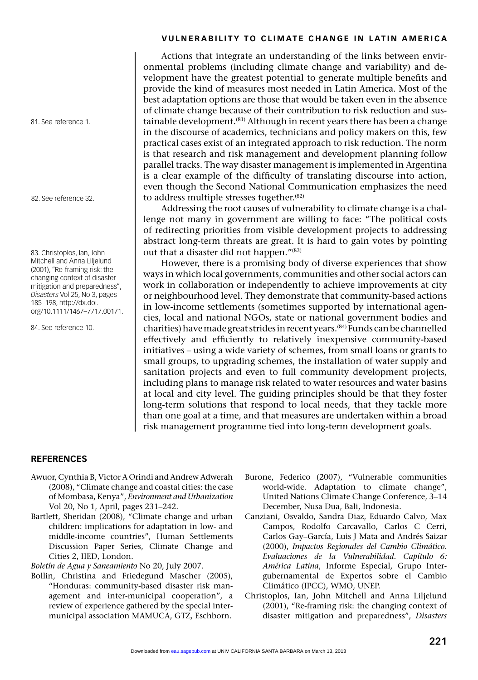Actions that integrate an understanding of the links between environmental problems (including climate change and variability) and development have the greatest potential to generate multiple benefits and provide the kind of measures most needed in Latin America. Most of the best adaptation options are those that would be taken even in the absence of climate change because of their contribution to risk reduction and sustainable development.<sup>(81)</sup> Although in recent years there has been a change in the discourse of academics, technicians and policy makers on this, few practical cases exist of an integrated approach to risk reduction. The norm is that research and risk management and development planning follow parallel tracks. The way disaster management is implemented in Argentina is a clear example of the difficulty of translating discourse into action, even though the Second National Communication emphasizes the need to address multiple stresses together.<sup>(82)</sup>

Addressing the root causes of vulnerability to climate change is a challenge not many in government are willing to face: "The political costs of redirecting priorities from visible development projects to addressing abstract long-term threats are great. It is hard to gain votes by pointing out that a disaster did not happen."(83)

However, there is a promising body of diverse experiences that show ways in which local governments, communities and other social actors can work in collaboration or independently to achieve improvements at city or neighbourhood level. They demonstrate that community-based actions in low-income settlements (sometimes supported by international agencies, local and national NGOs, state or national government bodies and charities) have made great strides in recent years.(84) Funds can be channelled effectively and efficiently to relatively inexpensive community-based initiatives – using a wide variety of schemes, from small loans or grants to small groups, to upgrading schemes, the installation of water supply and sanitation projects and even to full community development projects, including plans to manage risk related to water resources and water basins at local and city level. The guiding principles should be that they foster long-term solutions that respond to local needs, that they tackle more than one goal at a time, and that measures are undertaken within a broad risk management programme tied into long-term development goals.

# **REFERENCES**

- Awuor, Cynthia B, Victor A Orindi and Andrew Adwerah (2008), "Climate change and coastal cities: the case of Mombasa, Kenya", *Environment and Urbanization* Vol 20, No 1, April, pages 231–242.
- Bartlett, Sheridan (2008), "Climate change and urban children: implications for adaptation in low- and middle-income countries", Human Settlements Discussion Paper Series, Climate Change and Cities 2, IIED, London.

*Boletín de Agua y Saneamiento* No 20, July 2007.

- Bollin, Christina and Friedegund Mascher (2005), "Honduras: community-based disaster risk management and inter-municipal cooperation", a review of experience gathered by the special intermunicipal association MAMUCA, GTZ, Eschborn.
- Burone, Federico (2007), "Vulnerable communities world-wide. Adaptation to climate change", United Nations Climate Change Conference, 3–14 December, Nusa Dua, Bali, Indonesia.
- Canziani, Osvaldo, Sandra Diaz, Eduardo Calvo, Max Campos, Rodolfo Carcavallo, Carlos C Cerri, Carlos Gay–García, Luis J Mata and Andrés Saizar (2000), *Impactos Regionales del Cambio Climático. Evaluaciones de la Vulnerabilidad. Capítulo 6: América Latina*, Informe Especial, Grupo Intergubernamental de Expertos sobre el Cambio Climático (IPCC), WMO, UNEP.
- Christoplos, Ian, John Mitchell and Anna Liljelund (2001), "Re-framing risk: the changing context of disaster mitigation and preparedness", *Disasters*

81. See reference 1.

82. See reference 32.

83. Christoplos, Ian, John Mitchell and Anna Liljelund (2001), "Re-framing risk: the changing context of disaster mitigation and preparedness", *Disasters* Vol 25, No 3, pages 185–198, http://dx.doi. org/10.1111/1467–7717.00171.

84. See reference 10.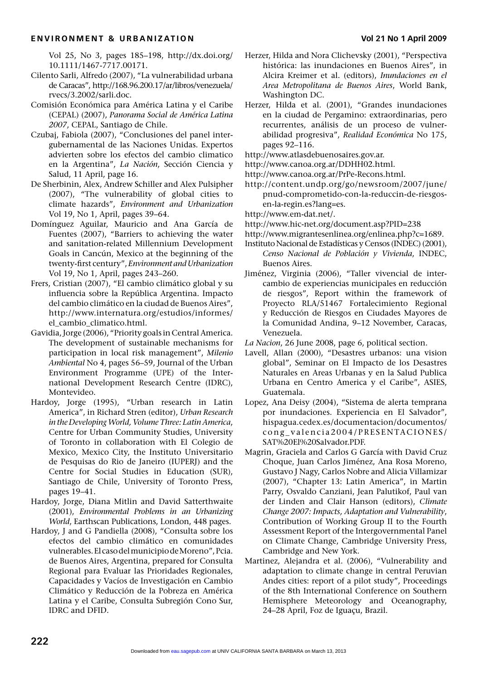Vol 25, No 3, pages 185–198, http://dx.doi.org/ 10.1111/1467-7717.00171.

- Cilento Sarli, Alfredo (2007), "La vulnerabilidad urbana de Caracas", http://168.96.200.17/ar/libros/venezuela/ rvecs/3.2002/sarli.doc.
- Comisión Económica para América Latina y el Caribe (CEPAL) (2007), *Panorama Social de América Latina 2007*, CEPAL, Santiago de Chile.
- Czubaj, Fabiola (2007), "Conclusiones del panel intergubernamental de las Naciones Unidas. Expertos advierten sobre los efectos del cambio climatico en la Argentina", *La Nación*, Sección Ciencia y Salud, 11 April, page 16.
- De Sherbinin, Alex, Andrew Schiller and Alex Pulsipher (2007), "The vulnerability of global cities to climate hazards", *Environment and Urbanization* Vol 19, No 1, April, pages 39–64.
- Domínguez Aguilar, Mauricio and Ana García de Fuentes (2007), "Barriers to achieving the water and sanitation-related Millennium Development Goals in Cancún, Mexico at the beginning of the twenty-fi rst century", *Environment and Urbanization* Vol 19, No 1, April, pages 243–260.
- Frers, Cristian (2007), "El cambio climático global y su influencia sobre la República Argentina. Impacto del cambio climático en la ciudad de Buenos Aires", http://www.internatura.org/estudios/informes/ el\_cambio\_climatico.html.
- Gavidia, Jorge (2006), "Priority goals in Central America. The development of sustainable mechanisms for participation in local risk management", *Milenio Ambiental* No 4, pages 56–59, Journal of the Urban Environment Programme (UPE) of the International Development Research Centre (IDRC), Montevideo.
- Hardoy, Jorge (1995), "Urban research in Latin America", in Richard Stren (editor), *Urban Research in the Developing World, Volume Three: Latin America*, Centre for Urban Community Studies, University of Toronto in collaboration with El Colegio de Mexico, Mexico City, the Instituto Universitario de Pesquisas do Rio de Janeiro (IUPERJ) and the Centre for Social Studies in Education (SUR), Santiago de Chile, University of Toronto Press, pages 19–41.
- Hardoy, Jorge, Diana Mitlin and David Satterthwaite (2001), *Environmental Problems in an Urbanizing World*, Earthscan Publications, London, 448 pages.
- Hardoy, J and G Pandiella (2008), "Consulta sobre los efectos del cambio climático en comunidades vulnerables. El caso del municipio de Moreno", Pcia. de Buenos Aires, Argentina, prepared for Consulta Regional para Evaluar las Prioridades Regionales, Capacidades y Vacíos de Investigación en Cambio Climático y Reducción de la Pobreza en América Latina y el Caribe, Consulta Subregión Cono Sur, IDRC and DFID.
- Herzer, Hilda and Nora Clichevsky (2001), "Perspectiva histórica: las inundaciones en Buenos Aires", in Alcira Kreimer et al. (editors), *Inundaciones en el Area Metropolitana de Buenos Aires*, World Bank, Washington DC.
- Herzer, Hilda et al. (2001), "Grandes inundaciones en la ciudad de Pergamino: extraordinarias, pero recurrentes, análisis de un proceso de vulnerabilidad progresiva", *Realidad Económica* No 175, pages 92–116.
- http://www.atlasdebuenosaires.gov.ar.
- http://www.canoa.org.ar/DDHH02.html.
- http://www.canoa.org.ar/PrPe-Recons.html.
- http://content.undp.org/go/newsroom/2007/june/ pnud-comprometido-con-la-reduccin-de-riesgosen-la-regin.es?lang=es.
- http://www.em-dat.net/.
- http://www.hic-net.org/document.asp?PID=238
- http://www.migrantesenlinea.org/enlinea.php?c=1689.
- Instituto Nacional de Estadísticas y Censos (INDEC) (2001), *Censo Nacional de Población y Vivienda*, INDEC, Buenos Aires.
- Jiménez, Virginia (2006), "Taller vivencial de intercambio de experiencias municipales en reducción de riesgos", Report within the framework of Proyecto RLA/51467 Fortalecimiento Regional y Reducción de Riesgos en Ciudades Mayores de la Comunidad Andina, 9–12 November, Caracas, Venezuela.
- *La Nacion*, 26 June 2008, page 6, political section.
- Lavell, Allan (2000), "Desastres urbanos: una vision global", Seminar on El Impacto de los Desastres Naturales en Areas Urbanas y en la Salud Publica Urbana en Centro America y el Caribe", ASIES, Guatemala.
- Lopez, Ana Deisy (2004), "Sistema de alerta temprana por inundaciones. Experiencia en El Salvador", hispagua.cedex.es/documentacion/documentos/ cong\_valencia2004/PRESENTACIONES/ SAT%20El%20Salvador.PDF.
- Magrin, Graciela and Carlos G García with David Cruz Choque, Juan Carlos Jiménez, Ana Rosa Moreno, Gustavo J Nagy, Carlos Nobre and Alicia Villamizar (2007), "Chapter 13: Latin America", in Martin Parry, Osvaldo Canziani, Jean Palutikof, Paul van der Linden and Clair Hanson (editors), *Climate Change 2007: Impacts, Adaptation and Vulnerability*, Contribution of Working Group II to the Fourth Assessment Report of the Intergovernmental Panel on Climate Change, Cambridge University Press, Cambridge and New York.
- Martinez, Alejandra et al. (2006), "Vulnerability and adaptation to climate change in central Peruvian Andes cities: report of a pilot study", Proceedings of the 8th International Conference on Southern Hemisphere Meteorology and Oceanography, 24–28 April, Foz de Iguaçu, Brazil.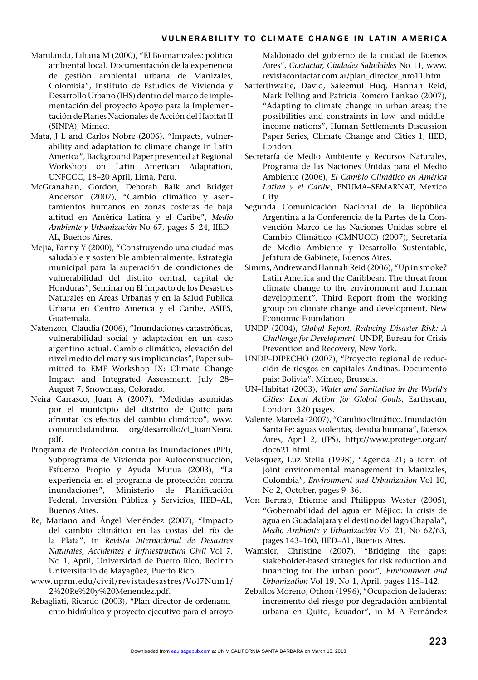- Marulanda, Liliana M (2000), "El Biomanizales: política ambiental local. Documentación de la experiencia de gestión ambiental urbana de Manizales, Colombia", Instituto de Estudios de Vivienda y Desarrollo Urbano (IHS) dentro del marco de implementación del proyecto Apoyo para la Implementación de Planes Nacionales de Acción del Habitat II (SINPA), Mimeo.
- Mata, J L and Carlos Nobre (2006), "Impacts, vulnerability and adaptation to climate change in Latin America", Background Paper presented at Regional Workshop on Latin American Adaptation, UNFCCC, 18–20 April, Lima, Peru.
- McGranahan, Gordon, Deborah Balk and Bridget Anderson (2007), "Cambio climático y asentamientos humanos en zonas costeras de baja altitud en América Latina y el Caribe", *Medio Ambiente y Urbanización* No 67, pages 5–24, IIED– AL, Buenos Aires.
- Mejia, Fanny Y (2000), "Construyendo una ciudad mas saludable y sostenible ambientalmente. Estrategia municipal para la superación de condiciones de vulnerabilidad del distrito central, capital de Honduras", Seminar on El Impacto de los Desastres Naturales en Areas Urbanas y en la Salud Publica Urbana en Centro America y el Caribe, ASIES, Guatemala.
- Natenzon, Claudia (2006), "Inundaciones catastróficas, vulnerabilidad social y adaptación en un caso argentino actual. Cambio climático, elevación del nivel medio del mar y sus implicancias", Paper submitted to EMF Workshop IX: Climate Change Impact and Integrated Assessment, July 28– August 7, Snowmass, Colorado.
- Neira Carrasco, Juan A (2007), "Medidas asumidas por el municipio del distrito de Quito para afrontar los efectos del cambio climático", www. comunidadandina. org/desarrollo/cl\_JuanNeira. pdf.
- Programa de Protección contra las Inundaciones (PPI), Subprograma de Vivienda por Autoconstrucción, Esfuerzo Propio y Ayuda Mutua (2003), "La experiencia en el programa de protección contra inundaciones", Ministerio de Planificación Federal, Inversión Pública y Servicios, IIED–AL, Buenos Aires.
- Re, Mariano and Ángel Menéndez (2007), "Impacto del cambio climático en las costas del río de la Plata", in *Revista Internacional de Desastres Naturales, Accidentes e Infraestructura Civil* Vol 7, No 1, April, Universidad de Puerto Rico, Recinto Universitario de Mayagüez, Puerto Rico.
- www.uprm.edu/civil/revistadesastres/Vol7Num1/ 2%20Re%20y%20Menendez.pdf.
- Rebagliati, Ricardo (2003), "Plan director de ordenamiento hidráulico y proyecto ejecutivo para el arroyo

Maldonado del gobierno de la ciudad de Buenos Aires", *Contactar, Ciudades Saludables* No 11, www. revistacontactar.com.ar/plan\_director\_nro11.htm.

- Satterthwaite, David, Saleemul Huq, Hannah Reid, Mark Pelling and Patricia Romero Lankao (2007), "Adapting to climate change in urban areas; the possibilities and constraints in low- and middleincome nations", Human Settlements Discussion Paper Series, Climate Change and Cities 1, IIED, London.
- Secretaría de Medio Ambiente y Recursos Naturales, Programa de las Naciones Unidas para el Medio Ambiente (2006), *El Cambio Climático en América Latina y el Caribe*, PNUMA–SEMARNAT, Mexico City.
- Segunda Comunicación Nacional de la República Argentina a la Conferencia de la Partes de la Convención Marco de las Naciones Unidas sobre el Cambio Climático (CMNUCC) (2007), Secretaría de Medio Ambiente y Desarrollo Sustentable, Jefatura de Gabinete, Buenos Aires.
- Simms, Andrew and Hannah Reid (2006), "Up in smoke? Latin America and the Caribbean. The threat from climate change to the environment and human development", Third Report from the working group on climate change and development, New Economic Foundation.
- UNDP (2004), *Global Report. Reducing Disaster Risk: A Challenge for Development*, UNDP, Bureau for Crisis Prevention and Recovery, New York.
- UNDP–DIPECHO (2007), "Proyecto regional de reducción de riesgos en capitales Andinas. Documento pais: Bolivia", Mimeo, Brussels.
- UN–Habitat (2003), *Water and Sanitation in the World's Cities: Local Action for Global Goals*, Earthscan, London, 320 pages.
- Valente, Marcela (2007), "Cambio climático. Inundación Santa Fe: aguas violentas, desidia humana", Buenos Aires, April 2, (IPS), http://www.proteger.org.ar/ doc621.html.
- Velasquez, Luz Stella (1998), "Agenda 21; a form of joint environmental management in Manizales, Colombia", *Environment and Urbanization* Vol 10, No 2, October, pages 9–36.
- Von Bertrab, Etienne and Philippus Wester (2005), "Gobernabilidad del agua en Méjico: la crisis de agua en Guadalajara y el destino del lago Chapala", *Medio Ambiente y Urbanización* Vol 21, No 62/63, pages 143–160, IIED–AL, Buenos Aires.
- Wamsler, Christine (2007), "Bridging the gaps: stakeholder-based strategies for risk reduction and financing for the urban poor", *Environment and Urbanization* Vol 19, No 1, April, pages 115–142.
- Zeballos Moreno, Othon (1996), "Ocupación de laderas: incremento del riesgo por degradación ambiental urbana en Quito, Ecuador", in M A Fernández